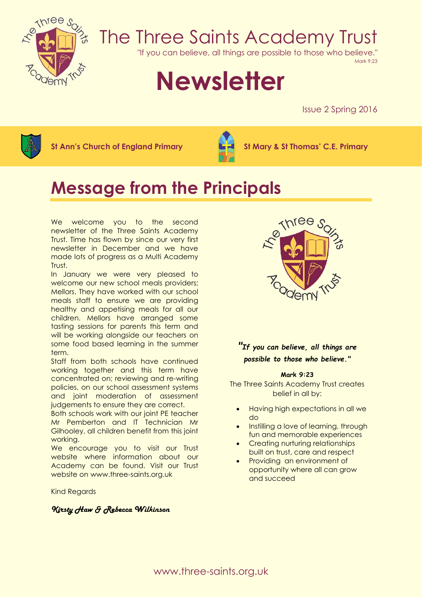

## The Three Saints Academy Trust

"If you can believe, all things are possible to those who believe."

Mark 9:23

# **Newsletter**

Issue 2 Spring 2016



**St Ann's Church of England Primary St Mary & St Thomas' C.E. Primary**



### **Message from the Principals**

We welcome you to the second newsletter of the Three Saints Academy Trust. Time has flown by since our very first newsletter in December and we have made lots of progress as a Multi Academy Trust.

In January we were very pleased to welcome our new school meals providers; Mellors. They have worked with our school meals staff to ensure we are providing healthy and appetising meals for all our children. Mellors have arranged some tasting sessions for parents this term and will be working alongside our teachers on some food based learning in the summer term.

Staff from both schools have continued working together and this term have concentrated on; reviewing and re-writing policies, on our school assessment systems and joint moderation of assessment judgements to ensure they are correct.

Both schools work with our joint PE teacher Mr Pemberton and IT Technician Mr Gilhooley, all children benefit from this joint working.

We encourage you to visit our Trust website where information about our Academy can be found. Visit our Trust website on www.three-saints.org.uk

Kind Regards

#### *Kirsty Haw & Rebecca Wilkinson*



#### *"If you can believe, all things are possible to those who believe."*

#### **Mark 9:23**

The Three Saints Academy Trust creates belief in all by:

- Having high expectations in all we do
- Instilling a love of learning, through fun and memorable experiences
- Creating nurturing relationships built on trust, care and respect
- Providing an environment of opportunity where all can grow and succeed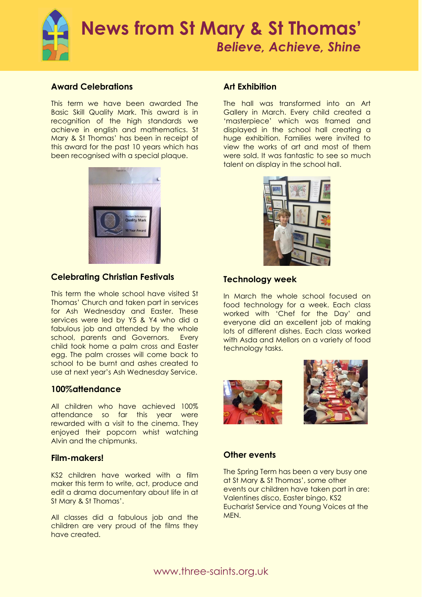

#### **Award Celebrations**

This term we have been awarded The Basic Skill Quality Mark. This award is in recognition of the high standards we achieve in english and mathematics. St Mary & St Thomas' has been in receipt of this award for the past 10 years which has been recognised with a special plaque.



#### **Celebrating Christian Festivals**

This term the whole school have visited St Thomas' Church and taken part in services for Ash Wednesday and Easter. These services were led by Y5 & Y4 who did a fabulous job and attended by the whole school, parents and Governors. Every child took home a palm cross and Easter egg. The palm crosses will come back to school to be burnt and ashes created to use at next year's Ash Wednesday Service.

#### **100%attendance**

All children who have achieved 100% attendance so far this year were rewarded with a visit to the cinema. They enjoyed their popcorn whist watching Alvin and the chipmunks.

#### **Film-makers!**

KS2 children have worked with a film maker this term to write, act, produce and edit a drama documentary about life in at St Mary & St Thomas'.

All classes did a fabulous job and the children are very proud of the films they have created.

#### **Art Exhibition**

The hall was transformed into an Art Gallery in March. Every child created a 'masterpiece' which was framed and displayed in the school hall creating a huge exhibition. Families were invited to view the works of art and most of them were sold. It was fantastic to see so much talent on display in the school hall.



#### **Technology week**

In March the whole school focused on food technology for a week. Each class worked with 'Chef for the Day' and everyone did an excellent job of making lots of different dishes. Each class worked with Asda and Mellors on a variety of food technology tasks.





#### **Other events**

The Spring Term has been a very busy one at St Mary & St Thomas', some other events our children have taken part in are: Valentines disco, Easter bingo, KS2 Eucharist Service and Young Voices at the MEN.